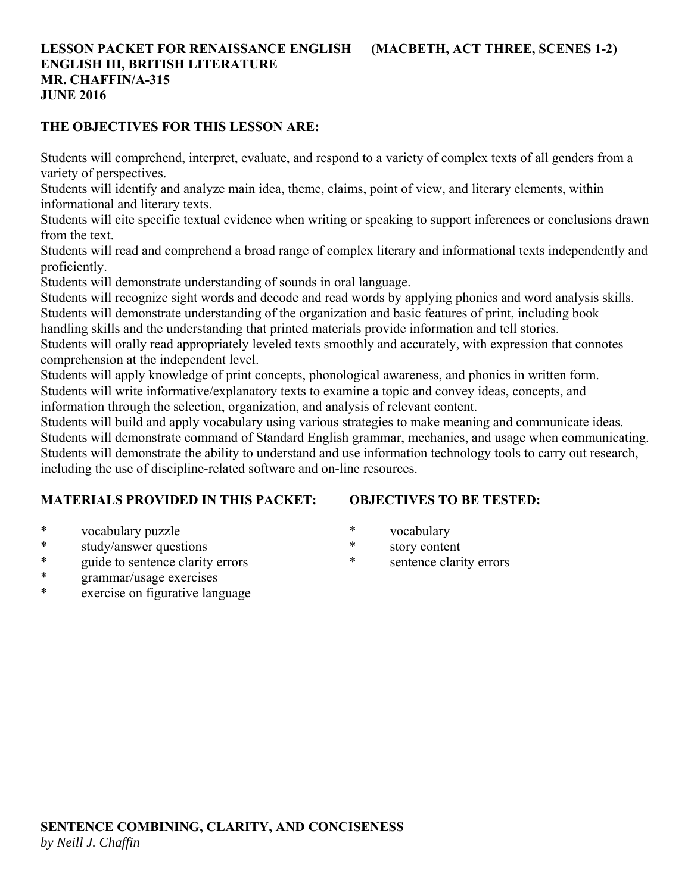## **LESSON PACKET FOR RENAISSANCE ENGLISH (MACBETH, ACT THREE, SCENES 1-2) ENGLISH III, BRITISH LITERATURE MR. CHAFFIN/A-315 JUNE 2016**

### **THE OBJECTIVES FOR THIS LESSON ARE:**

Students will comprehend, interpret, evaluate, and respond to a variety of complex texts of all genders from a variety of perspectives.

Students will identify and analyze main idea, theme, claims, point of view, and literary elements, within informational and literary texts.

Students will cite specific textual evidence when writing or speaking to support inferences or conclusions drawn from the text.

Students will read and comprehend a broad range of complex literary and informational texts independently and proficiently.

Students will demonstrate understanding of sounds in oral language.

Students will recognize sight words and decode and read words by applying phonics and word analysis skills. Students will demonstrate understanding of the organization and basic features of print, including book

handling skills and the understanding that printed materials provide information and tell stories.

Students will orally read appropriately leveled texts smoothly and accurately, with expression that connotes comprehension at the independent level.

Students will apply knowledge of print concepts, phonological awareness, and phonics in written form. Students will write informative/explanatory texts to examine a topic and convey ideas, concepts, and information through the selection, organization, and analysis of relevant content.

Students will build and apply vocabulary using various strategies to make meaning and communicate ideas. Students will demonstrate command of Standard English grammar, mechanics, and usage when communicating. Students will demonstrate the ability to understand and use information technology tools to carry out research, including the use of discipline-related software and on-line resources.

## **MATERIALS PROVIDED IN THIS PACKET:**

## **OBJECTIVES TO BE TESTED:**

- \* vocabulary puzzle
- \* study/answer questions
- \* guide to sentence clarity errors
- \* grammar/usage exercises
- \* exercise on figurative language
- \* vocabulary
- \* story content
- \* sentence clarity errors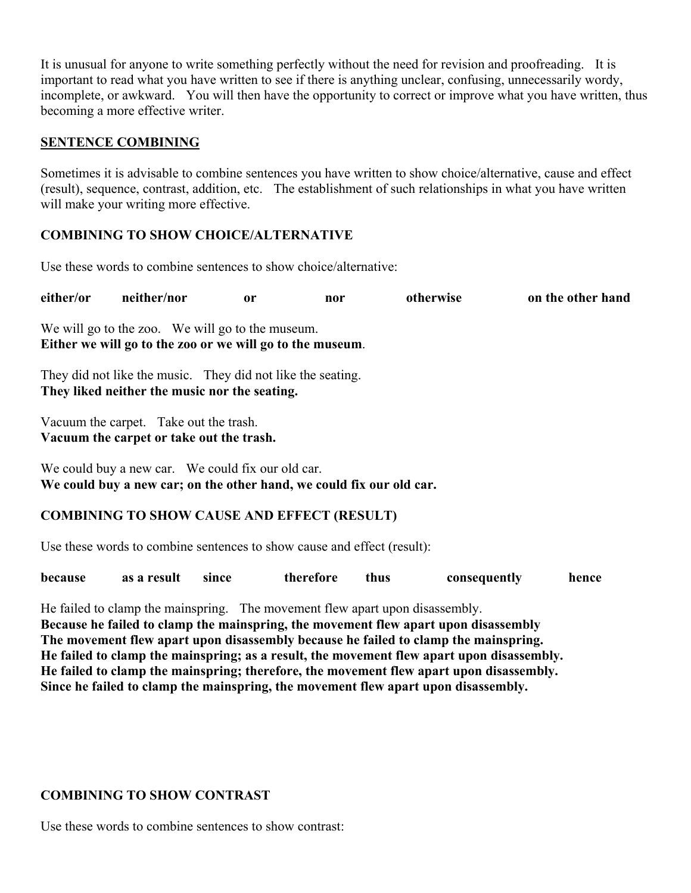It is unusual for anyone to write something perfectly without the need for revision and proofreading. It is important to read what you have written to see if there is anything unclear, confusing, unnecessarily wordy, incomplete, or awkward. You will then have the opportunity to correct or improve what you have written, thus becoming a more effective writer.

### **SENTENCE COMBINING**

Sometimes it is advisable to combine sentences you have written to show choice/alternative, cause and effect (result), sequence, contrast, addition, etc. The establishment of such relationships in what you have written will make your writing more effective.

### **COMBINING TO SHOW CHOICE/ALTERNATIVE**

Use these words to combine sentences to show choice/alternative:

**either/or neither/nor or nor otherwise on the other hand**

We will go to the zoo. We will go to the museum. **Either we will go to the zoo or we will go to the museum**.

They did not like the music. They did not like the seating. **They liked neither the music nor the seating.**

Vacuum the carpet. Take out the trash. **Vacuum the carpet or take out the trash.**

We could buy a new car. We could fix our old car. **We could buy a new car; on the other hand, we could fix our old car.**

## **COMBINING TO SHOW CAUSE AND EFFECT (RESULT)**

Use these words to combine sentences to show cause and effect (result):

| because | as a result | since | therefore | thus | consequently | hence |
|---------|-------------|-------|-----------|------|--------------|-------|
|         |             |       |           |      |              |       |

He failed to clamp the mainspring. The movement flew apart upon disassembly. **Because he failed to clamp the mainspring, the movement flew apart upon disassembly The movement flew apart upon disassembly because he failed to clamp the mainspring. He failed to clamp the mainspring; as a result, the movement flew apart upon disassembly. He failed to clamp the mainspring; therefore, the movement flew apart upon disassembly. Since he failed to clamp the mainspring, the movement flew apart upon disassembly.**

#### **COMBINING TO SHOW CONTRAST**

Use these words to combine sentences to show contrast: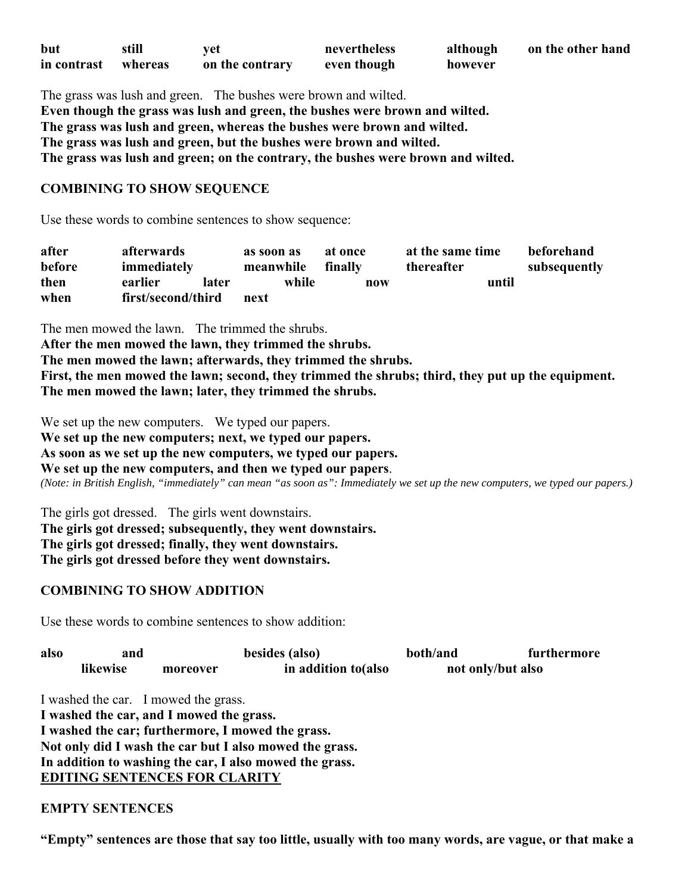| but         | still   | vet             | nevertheless | although | on the other hand |
|-------------|---------|-----------------|--------------|----------|-------------------|
| in contrast | whereas | on the contrary | even though  | however  |                   |

The grass was lush and green. The bushes were brown and wilted. **Even though the grass was lush and green, the bushes were brown and wilted. The grass was lush and green, whereas the bushes were brown and wilted. The grass was lush and green, but the bushes were brown and wilted. The grass was lush and green; on the contrary, the bushes were brown and wilted.**

#### **COMBINING TO SHOW SEQUENCE**

Use these words to combine sentences to show sequence:

| after  | afterwards         |       | as soon as | at once | at the same time | beforehand   |
|--------|--------------------|-------|------------|---------|------------------|--------------|
| before | immediately        |       | meanwhile  | finally | thereafter       | subsequently |
| then   | earlier            | later | while      | now     | until            |              |
| when   | first/second/third |       | next       |         |                  |              |

The men mowed the lawn. The trimmed the shrubs.

**After the men mowed the lawn, they trimmed the shrubs.** 

**The men mowed the lawn; afterwards, they trimmed the shrubs.** 

**First, the men mowed the lawn; second, they trimmed the shrubs; third, they put up the equipment. The men mowed the lawn; later, they trimmed the shrubs.**

We set up the new computers. We typed our papers.

**We set up the new computers; next, we typed our papers.** 

**As soon as we set up the new computers, we typed our papers.** 

**We set up the new computers, and then we typed our papers**.

*(Note: in British English, "immediately" can mean "as soon as": Immediately we set up the new computers, we typed our papers.)*

The girls got dressed. The girls went downstairs. **The girls got dressed; subsequently, they went downstairs. The girls got dressed; finally, they went downstairs. The girls got dressed before they went downstairs.**

#### **COMBINING TO SHOW ADDITION**

Use these words to combine sentences to show addition:

| also | and      |                                                   | besides (also)                                          |  | furthermore       |
|------|----------|---------------------------------------------------|---------------------------------------------------------|--|-------------------|
|      | likewise | moreover                                          | in addition to (also                                    |  | not only/but also |
|      |          | I washed the car. I mowed the grass.              |                                                         |  |                   |
|      |          | I washed the car, and I mowed the grass.          |                                                         |  |                   |
|      |          | I washed the car; furthermore, I mowed the grass. |                                                         |  |                   |
|      |          |                                                   | Not only did I wash the car but I also mowed the grass. |  |                   |
|      |          |                                                   | In addition to washing the car, I also mowed the grass. |  |                   |

**EDITING SENTENCES FOR CLARITY**

#### **EMPTY SENTENCES**

**"Empty" sentences are those that say too little, usually with too many words, are vague, or that make a**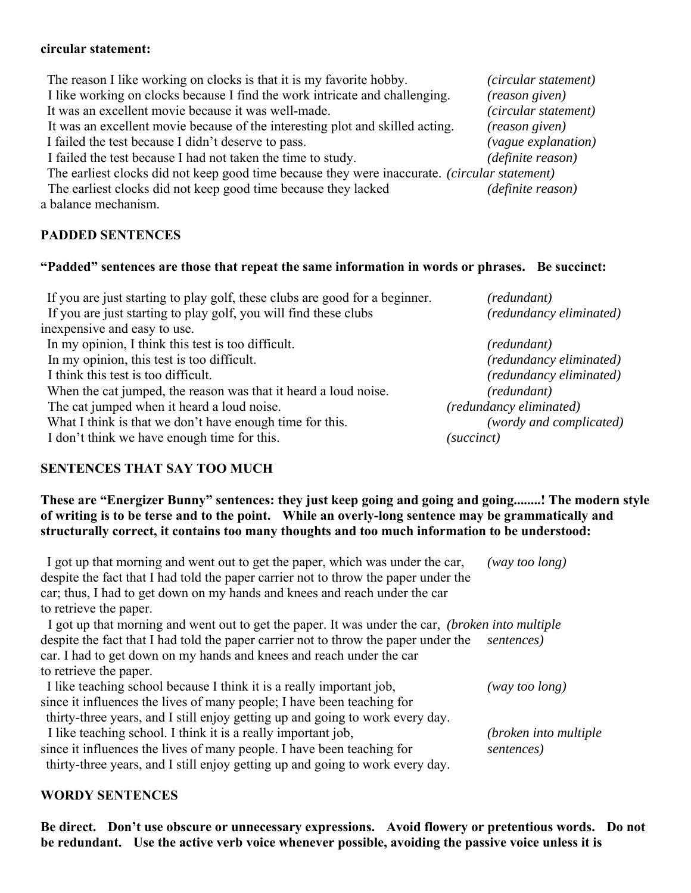#### **circular statement:**

The reason I like working on clocks is that it is my favorite hobby. *(circular statement)* I like working on clocks because I find the work intricate and challenging. *(reason given)* It was an excellent movie because it was well-made. *(circular statement)* It was an excellent movie because of the interesting plot and skilled acting. *(reason given)* I failed the test because I didn't deserve to pass. *(vague explanation)* I failed the test because I had not taken the time to study. *(definite reason)* The earliest clocks did not keep good time because they were inaccurate. *(circular statement)* The earliest clocks did not keep good time because they lacked *(definite reason)* a balance mechanism.

## **PADDED SENTENCES**

#### **"Padded" sentences are those that repeat the same information in words or phrases. Be succinct:**

| If you are just starting to play golf, these clubs are good for a beginner. | (redundant)             |
|-----------------------------------------------------------------------------|-------------------------|
| If you are just starting to play golf, you will find these clubs            | (redundancy eliminated) |
| inexpensive and easy to use.                                                |                         |
| In my opinion, I think this test is too difficult.                          | (redundant)             |
| In my opinion, this test is too difficult.                                  | (redundancy eliminated) |
| I think this test is too difficult.                                         | (redundancy eliminated) |
| When the cat jumped, the reason was that it heard a loud noise.             | (redundant)             |
| The cat jumped when it heard a loud noise.                                  | (redundancy eliminated) |
| What I think is that we don't have enough time for this.                    | (wordy and complicated) |
| I don't think we have enough time for this.                                 | (succinct)              |

## **SENTENCES THAT SAY TOO MUCH**

## **These are "Energizer Bunny" sentences: they just keep going and going and going........! The modern style of writing is to be terse and to the point. While an overly-long sentence may be grammatically and structurally correct, it contains too many thoughts and too much information to be understood:**

| I got up that morning and went out to get the paper, which was under the car,<br>despite the fact that I had told the paper carrier not to throw the paper under the | $(way\ too\ long)$     |
|----------------------------------------------------------------------------------------------------------------------------------------------------------------------|------------------------|
| car; thus, I had to get down on my hands and knees and reach under the car                                                                                           |                        |
| to retrieve the paper.                                                                                                                                               |                        |
| I got up that morning and went out to get the paper. It was under the car, <i>(broken into multiple</i> )                                                            |                        |
| despite the fact that I had told the paper carrier not to throw the paper under the                                                                                  | sentences)             |
| car. I had to get down on my hands and knees and reach under the car                                                                                                 |                        |
| to retrieve the paper.                                                                                                                                               |                        |
| I like teaching school because I think it is a really important job,                                                                                                 | (way too long)         |
| since it influences the lives of many people; I have been teaching for                                                                                               |                        |
| thirty-three years, and I still enjoy getting up and going to work every day.                                                                                        |                        |
| I like teaching school. I think it is a really important job,                                                                                                        | (broken into multiple) |
| since it influences the lives of many people. I have been teaching for                                                                                               | sentences)             |
| thirty-three years, and I still enjoy getting up and going to work every day.                                                                                        |                        |

## **WORDY SENTENCES**

**Be direct. Don't use obscure or unnecessary expressions. Avoid flowery or pretentious words. Do not be redundant. Use the active verb voice whenever possible, avoiding the passive voice unless it is**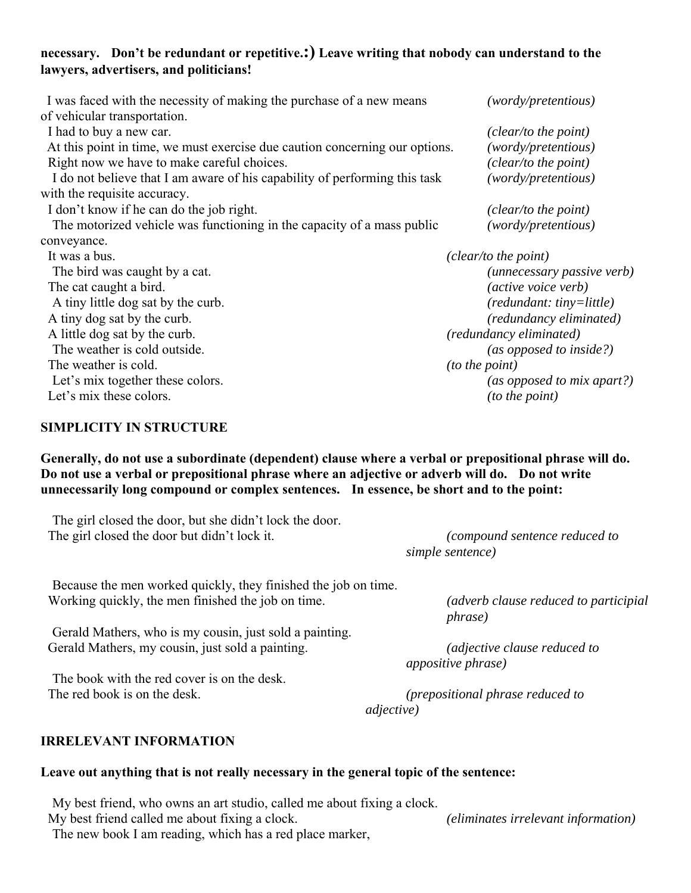## **necessary. Don't be redundant or repetitive.:) Leave writing that nobody can understand to the lawyers, advertisers, and politicians!**

| I was faced with the necessity of making the purchase of a new means        | (wordy/pretentious)        |
|-----------------------------------------------------------------------------|----------------------------|
| of vehicular transportation.                                                |                            |
| I had to buy a new car.                                                     | (clear/to the point)       |
| At this point in time, we must exercise due caution concerning our options. | (wordy/pretentious)        |
| Right now we have to make careful choices.                                  | (clear/to the point)       |
| I do not believe that I am aware of his capability of performing this task  | (wordy/pretentious)        |
| with the requisite accuracy.                                                |                            |
| I don't know if he can do the job right.                                    | (clear/to the point)       |
| The motorized vehicle was functioning in the capacity of a mass public      | (wordy/pretentious)        |
| conveyance.                                                                 |                            |
| It was a bus.                                                               | (clear/to the point)       |
| The bird was caught by a cat.                                               | (unnecessary passive verb) |
| The cat caught a bird.                                                      | (active voice verb)        |
| A tiny little dog sat by the curb.                                          | (redundant: tiny=little)   |
| A tiny dog sat by the curb.                                                 | (redundancy eliminated)    |
| A little dog sat by the curb.                                               | (redundancy eliminated)    |
| The weather is cold outside.                                                | (as opposed to inside?)    |
| The weather is cold.                                                        | <i>(to the point)</i>      |
| Let's mix together these colors.                                            | (as opposed to mix apart?) |
| Let's mix these colors.                                                     | (to the point)             |
|                                                                             |                            |

## **SIMPLICITY IN STRUCTURE**

**Generally, do not use a subordinate (dependent) clause where a verbal or prepositional phrase will do. Do not use a verbal or prepositional phrase where an adjective or adverb will do. Do not write unnecessarily long compound or complex sentences. In essence, be short and to the point:**

 The girl closed the door, but she didn't lock the door. The girl closed the door but didn't lock it. *(compound sentence reduced to* 

 *simple sentence)*

 Because the men worked quickly, they finished the job on time. Working quickly, the men finished the job on time. *(adverb clause reduced to participial* 

 Gerald Mathers, who is my cousin, just sold a painting. Gerald Mathers, my cousin, just sold a painting. *(adjective clause reduced to* 

 The book with the red cover is on the desk. The red book is on the desk. *(prepositional phrase reduced to* 

 *phrase)*

 *appositive phrase)*

 *adjective)*

#### **IRRELEVANT INFORMATION**

# **Leave out anything that is not really necessary in the general topic of the sentence:**

My best friend, who owns an art studio, called me about fixing a clock.

My best friend called me about fixing a clock. *(eliminates irrelevant information)* The new book I am reading, which has a red place marker,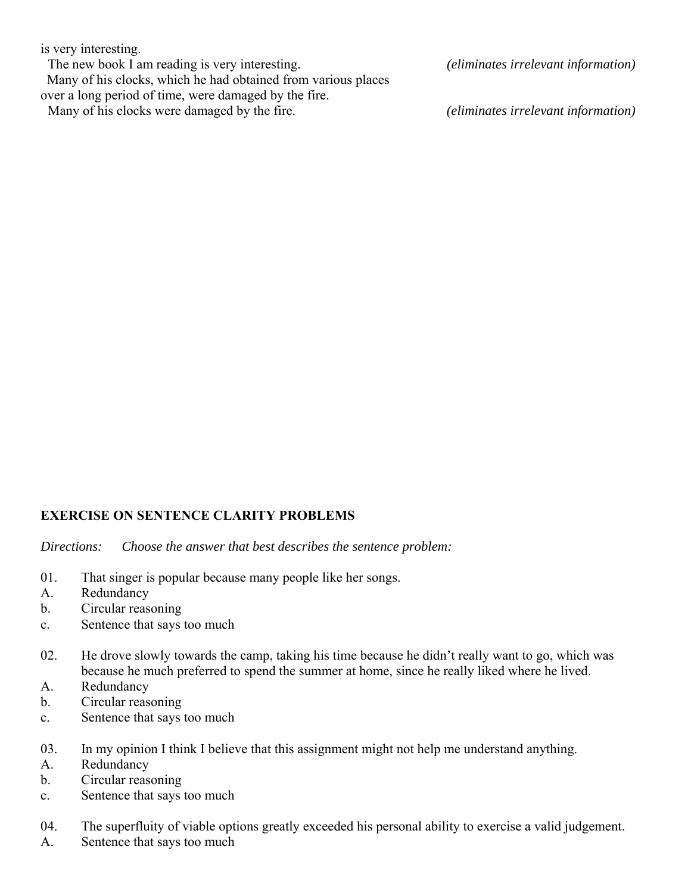is very interesting.

The new book I am reading is very interesting. *(eliminates irrelevant information)* Many of his clocks, which he had obtained from various places over a long period of time, were damaged by the fire. Many of his clocks were damaged by the fire. *(eliminates irrelevant information)*

# **EXERCISE ON SENTENCE CLARITY PROBLEMS**

*Directions: Choose the answer that best describes the sentence problem:*

- 01. That singer is popular because many people like her songs.
- A. Redundancy
- b. Circular reasoning
- c. Sentence that says too much
- 02. He drove slowly towards the camp, taking his time because he didn't really want to go, which was because he much preferred to spend the summer at home, since he really liked where he lived.
- A. Redundancy
- b. Circular reasoning
- c. Sentence that says too much
- 03. In my opinion I think I believe that this assignment might not help me understand anything.
- A. Redundancy
- b. Circular reasoning
- c. Sentence that says too much
- 04. The superfluity of viable options greatly exceeded his personal ability to exercise a valid judgement.
- A. Sentence that says too much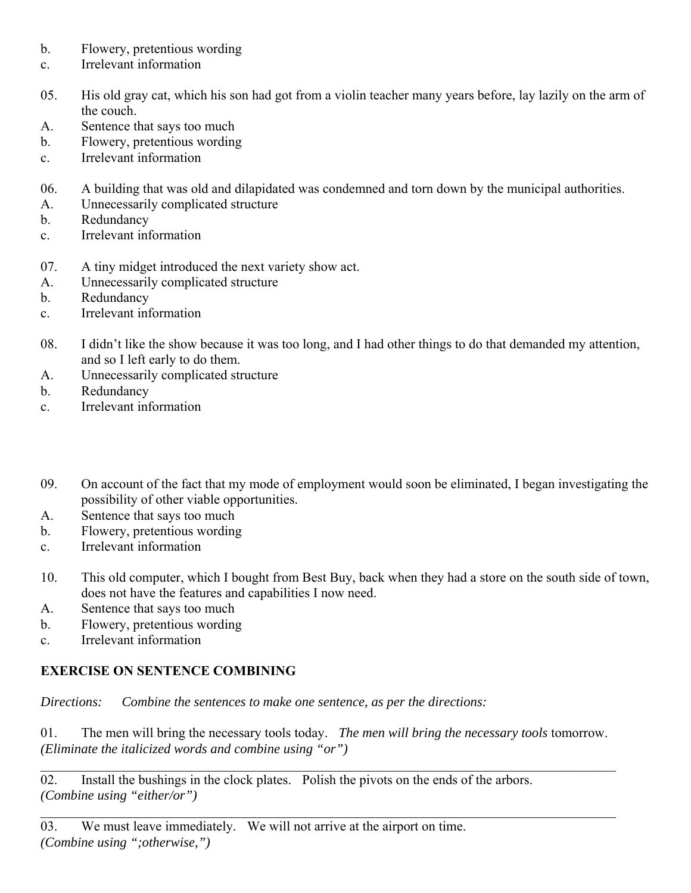- b. Flowery, pretentious wording
- c. Irrelevant information
- 05. His old gray cat, which his son had got from a violin teacher many years before, lay lazily on the arm of the couch.
- A. Sentence that says too much
- b. Flowery, pretentious wording
- c. Irrelevant information
- 06. A building that was old and dilapidated was condemned and torn down by the municipal authorities.
- A. Unnecessarily complicated structure
- b. Redundancy
- c. Irrelevant information
- 07. A tiny midget introduced the next variety show act.
- A. Unnecessarily complicated structure
- b. Redundancy
- c. Irrelevant information
- 08. I didn't like the show because it was too long, and I had other things to do that demanded my attention, and so I left early to do them.
- A. Unnecessarily complicated structure
- b. Redundancy
- c. Irrelevant information
- 09. On account of the fact that my mode of employment would soon be eliminated, I began investigating the possibility of other viable opportunities.
- A. Sentence that says too much
- b. Flowery, pretentious wording
- c. Irrelevant information
- 10. This old computer, which I bought from Best Buy, back when they had a store on the south side of town, does not have the features and capabilities I now need.
- A. Sentence that says too much
- b. Flowery, pretentious wording
- c. Irrelevant information

# **EXERCISE ON SENTENCE COMBINING**

*Directions: Combine the sentences to make one sentence, as per the directions:*

01. The men will bring the necessary tools today. *The men will bring the necessary tools* tomorrow. *(Eliminate the italicized words and combine using "or")* 

02. Install the bushings in the clock plates. Polish the pivots on the ends of the arbors. *(Combine using "either/or")*

03. We must leave immediately. We will not arrive at the airport on time. *(Combine using ";otherwise,")*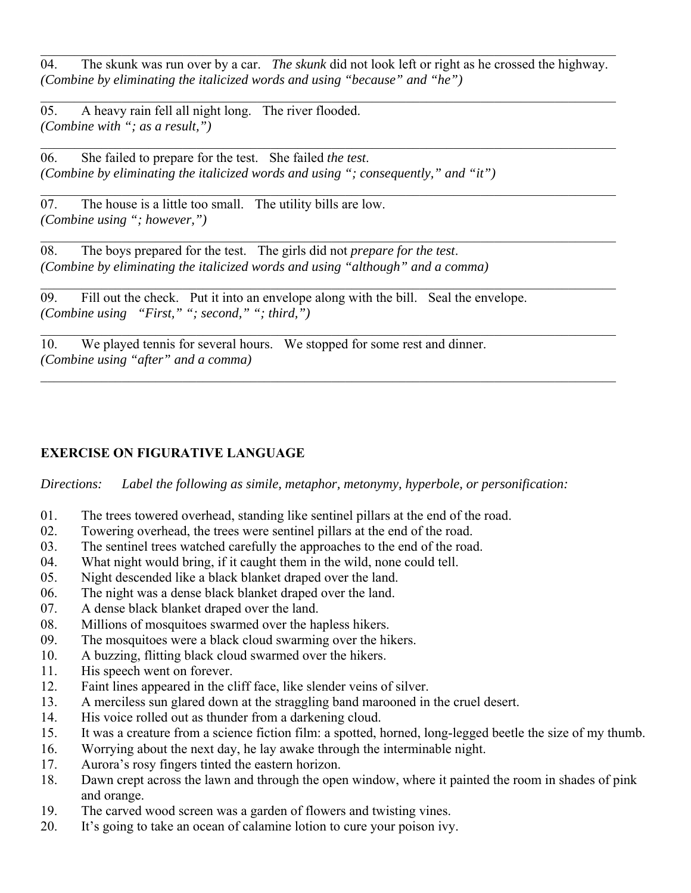04. The skunk was run over by a car. *The skunk* did not look left or right as he crossed the highway. *(Combine by eliminating the italicized words and using "because" and "he")*

05. A heavy rain fell all night long. The river flooded. *(Combine with "; as a result,")*

06. She failed to prepare for the test. She failed *the test*. *(Combine by eliminating the italicized words and using "; consequently," and "it")*

07. The house is a little too small. The utility bills are low. *(Combine using "; however,")*

08. The boys prepared for the test. The girls did not *prepare for the test*. *(Combine by eliminating the italicized words and using "although" and a comma)*

 $\overline{09}$ . Fill out the check. Put it into an envelope along with the bill. Seal the envelope. *(Combine using "First," "; second," "; third,")*

10. We played tennis for several hours. We stopped for some rest and dinner. *(Combine using "after" and a comma)*

# **EXERCISE ON FIGURATIVE LANGUAGE**

*Directions: Label the following as simile, metaphor, metonymy, hyperbole, or personification:*

- 01. The trees towered overhead, standing like sentinel pillars at the end of the road.
- 02. Towering overhead, the trees were sentinel pillars at the end of the road.
- 03. The sentinel trees watched carefully the approaches to the end of the road.
- 04. What night would bring, if it caught them in the wild, none could tell.
- 05. Night descended like a black blanket draped over the land.
- 06. The night was a dense black blanket draped over the land.
- 07. A dense black blanket draped over the land.
- 08. Millions of mosquitoes swarmed over the hapless hikers.
- 09. The mosquitoes were a black cloud swarming over the hikers.
- 10. A buzzing, flitting black cloud swarmed over the hikers.
- 11. His speech went on forever.
- 12. Faint lines appeared in the cliff face, like slender veins of silver.
- 13. A merciless sun glared down at the straggling band marooned in the cruel desert.
- 14. His voice rolled out as thunder from a darkening cloud.
- 15. It was a creature from a science fiction film: a spotted, horned, long-legged beetle the size of my thumb.
- 16. Worrying about the next day, he lay awake through the interminable night.
- 17. Aurora's rosy fingers tinted the eastern horizon.
- 18. Dawn crept across the lawn and through the open window, where it painted the room in shades of pink and orange.
- 19. The carved wood screen was a garden of flowers and twisting vines.
- 20. It's going to take an ocean of calamine lotion to cure your poison ivy.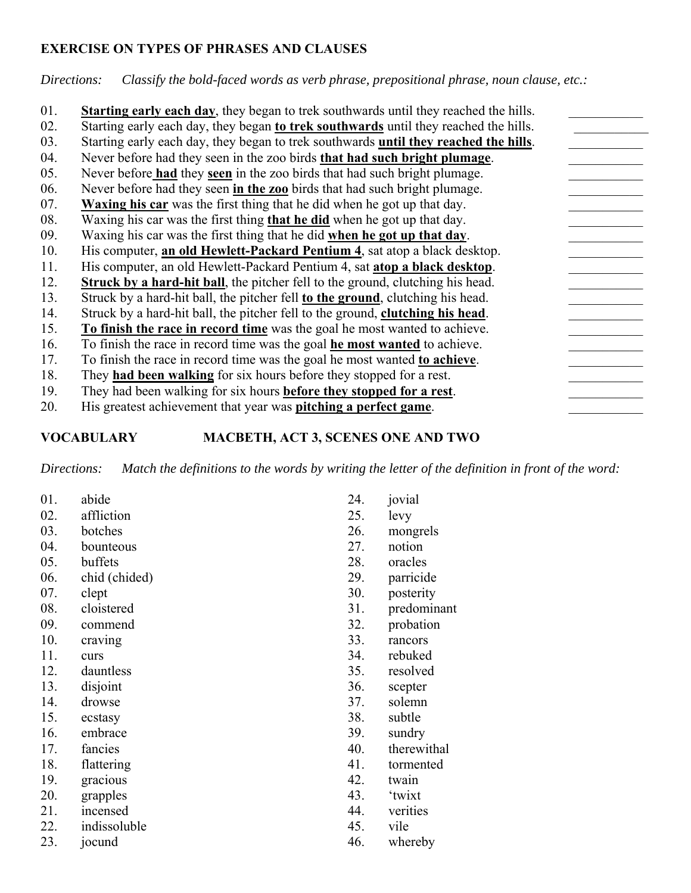## **EXERCISE ON TYPES OF PHRASES AND CLAUSES**

*Directions: Classify the bold-faced words as verb phrase, prepositional phrase, noun clause, etc.:*

| 01. | Starting early each day, they began to trek southwards until they reached the hills.         |
|-----|----------------------------------------------------------------------------------------------|
| 02. | Starting early each day, they began to trek southwards until they reached the hills.         |
| 03. | Starting early each day, they began to trek southwards <b>until they reached the hills</b> . |
| 04. | Never before had they seen in the zoo birds that had such bright plumage.                    |
| 05. | Never before had they seen in the zoo birds that had such bright plumage.                    |
| 06. | Never before had they seen in the zoo birds that had such bright plumage.                    |
| 07. | <b>Waxing his car</b> was the first thing that he did when he got up that day.               |
| 08. | Waxing his car was the first thing that he did when he got up that day.                      |
| 09. | Waxing his car was the first thing that he did when he got up that day.                      |
| 10. | His computer, an old Hewlett-Packard Pentium 4, sat atop a black desktop.                    |
| 11. | His computer, an old Hewlett-Packard Pentium 4, sat atop a black desktop.                    |
| 12. | <b>Struck by a hard-hit ball</b> , the pitcher fell to the ground, clutching his head.       |
| 13. | Struck by a hard-hit ball, the pitcher fell to the ground, clutching his head.               |
| 14. | Struck by a hard-hit ball, the pitcher fell to the ground, clutching his head.               |
| 15. | To finish the race in record time was the goal he most wanted to achieve.                    |
| 16. | To finish the race in record time was the goal <b>he most wanted</b> to achieve.             |
| 17. | To finish the race in record time was the goal he most wanted to achieve.                    |
| 18. | They <b>had been walking</b> for six hours before they stopped for a rest.                   |
| 19. | They had been walking for six hours <b>before they stopped for a rest</b> .                  |
| 20. | His greatest achievement that year was <b>pitching a perfect game</b> .                      |

# **VOCABULARY MACBETH, ACT 3, SCENES ONE AND TWO**

*Directions: Match the definitions to the words by writing the letter of the definition in front of the word:*

| 01. | abide         | 24. | jovial      |
|-----|---------------|-----|-------------|
| 02. | affliction    | 25. | levy        |
| 03. | botches       | 26. | mongrels    |
| 04. | bounteous     | 27. | notion      |
| 05. | buffets       | 28. | oracles     |
| 06. | chid (chided) | 29. | parricide   |
| 07. | clept         | 30. | posterity   |
| 08. | cloistered    | 31. | predominant |
| 09. | commend       | 32. | probation   |
| 10. | craving       | 33. | rancors     |
| 11. | curs          | 34. | rebuked     |
| 12. | dauntless     | 35. | resolved    |
| 13. | disjoint      | 36. | scepter     |
| 14. | drowse        | 37. | solemn      |
| 15. | ecstasy       | 38. | subtle      |
| 16. | embrace       | 39. | sundry      |
| 17. | fancies       | 40. | therewithal |
| 18. | flattering    | 41. | tormented   |
| 19. | gracious      | 42. | twain       |
| 20. | grapples      | 43. | 'twixt      |
| 21. | incensed      | 44. | verities    |
| 22. | indissoluble  | 45. | vile        |
| 23. | jocund        | 46. | whereby     |
|     |               |     |             |